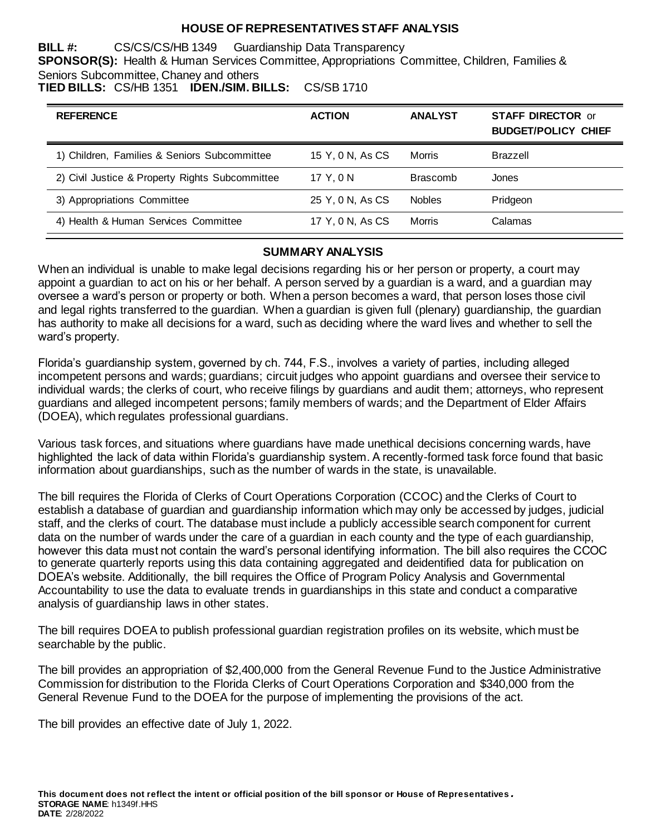### **HOUSE OF REPRESENTATIVES STAFF ANALYSIS**

**BILL #:** CS/CS/CS/HB 1349 Guardianship Data Transparency **SPONSOR(S):** Health & Human Services Committee, Appropriations Committee, Children, Families & Seniors Subcommittee, Chaney and others

**TIED BILLS:** CS/HB 1351 **IDEN./SIM. BILLS:** CS/SB 1710

| <b>REFERENCE</b>                                | <b>ACTION</b>    | <b>ANALYST</b>  | <b>STAFF DIRECTOR or</b><br><b>BUDGET/POLICY CHIEF</b> |
|-------------------------------------------------|------------------|-----------------|--------------------------------------------------------|
| 1) Children, Families & Seniors Subcommittee    | 15 Y, 0 N, As CS | Morris          | Brazzell                                               |
| 2) Civil Justice & Property Rights Subcommittee | 17 Y.ON          | <b>Brascomb</b> | Jones                                                  |
| 3) Appropriations Committee                     | 25 Y, 0 N, As CS | <b>Nobles</b>   | Pridgeon                                               |
| 4) Health & Human Services Committee            | 17 Y, 0 N, As CS | <b>Morris</b>   | Calamas                                                |

#### **SUMMARY ANALYSIS**

When an individual is unable to make legal decisions regarding his or her person or property, a court may appoint a guardian to act on his or her behalf. A person served by a guardian is a ward, and a guardian may oversee a ward's person or property or both. When a person becomes a ward, that person loses those civil and legal rights transferred to the guardian. When a guardian is given full (plenary) guardianship, the guardian has authority to make all decisions for a ward, such as deciding where the ward lives and whether to sell the ward's property.

Florida's guardianship system, governed by ch. 744, F.S., involves a variety of parties, including alleged incompetent persons and wards; guardians; circuit judges who appoint guardians and oversee their service to individual wards; the clerks of court, who receive filings by guardians and audit them; attorneys, who represent guardians and alleged incompetent persons; family members of wards; and the Department of Elder Affairs (DOEA), which regulates professional guardians.

Various task forces, and situations where guardians have made unethical decisions concerning wards, have highlighted the lack of data within Florida's guardianship system. A recently-formed task force found that basic information about guardianships, such as the number of wards in the state, is unavailable.

The bill requires the Florida of Clerks of Court Operations Corporation (CCOC) and the Clerks of Court to establish a database of guardian and guardianship information which may only be accessed by judges, judicial staff, and the clerks of court. The database must include a publicly accessible search component for current data on the number of wards under the care of a guardian in each county and the type of each guardianship, however this data must not contain the ward's personal identifying information. The bill also requires the CCOC to generate quarterly reports using this data containing aggregated and deidentified data for publication on DOEA's website. Additionally, the bill requires the Office of Program Policy Analysis and Governmental Accountability to use the data to evaluate trends in guardianships in this state and conduct a comparative analysis of guardianship laws in other states.

The bill requires DOEA to publish professional guardian registration profiles on its website, which must be searchable by the public.

The bill provides an appropriation of \$2,400,000 from the General Revenue Fund to the Justice Administrative Commission for distribution to the Florida Clerks of Court Operations Corporation and \$340,000 from the General Revenue Fund to the DOEA for the purpose of implementing the provisions of the act.

The bill provides an effective date of July 1, 2022.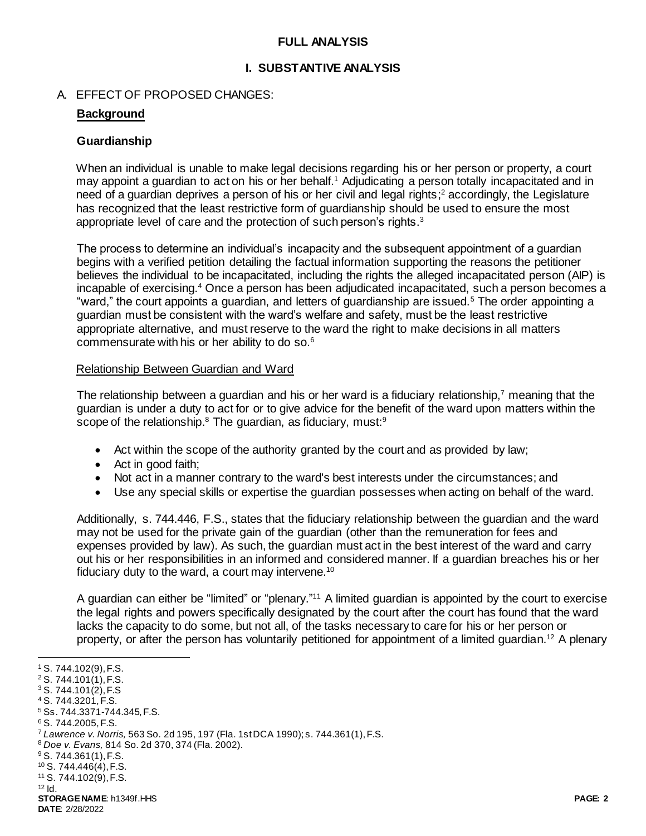### **FULL ANALYSIS**

#### **I. SUBSTANTIVE ANALYSIS**

#### A. EFFECT OF PROPOSED CHANGES:

### **Background**

#### **Guardianship**

When an individual is unable to make legal decisions regarding his or her person or property, a court may appoint a guardian to act on his or her behalf.<sup>1</sup> Adjudicating a person totally incapacitated and in need of a guardian deprives a person of his or her civil and legal rights; <sup>2</sup> accordingly, the Legislature has recognized that the least restrictive form of guardianship should be used to ensure the most appropriate level of care and the protection of such person's rights.<sup>3</sup>

The process to determine an individual's incapacity and the subsequent appointment of a guardian begins with a verified petition detailing the factual information supporting the reasons the petitioner believes the individual to be incapacitated, including the rights the alleged incapacitated person (AIP) is incapable of exercising.<sup>4</sup> Once a person has been adjudicated incapacitated, such a person becomes a "ward," the court appoints a guardian, and letters of guardianship are issued.<sup>5</sup> The order appointing a guardian must be consistent with the ward's welfare and safety, must be the least restrictive appropriate alternative, and must reserve to the ward the right to make decisions in all matters commensurate with his or her ability to do so.<sup>6</sup>

#### Relationship Between Guardian and Ward

The relationship between a guardian and his or her ward is a fiduciary relationship,<sup>7</sup> meaning that the guardian is under a duty to act for or to give advice for the benefit of the ward upon matters within the scope of the relationship.<sup>8</sup> The guardian, as fiduciary, must:<sup>9</sup>

- Act within the scope of the authority granted by the court and as provided by law;
- Act in good faith;
- Not act in a manner contrary to the ward's best interests under the circumstances; and
- Use any special skills or expertise the guardian possesses when acting on behalf of the ward.

Additionally, s. 744.446, F.S., states that the fiduciary relationship between the guardian and the ward may not be used for the private gain of the guardian (other than the remuneration for fees and expenses provided by law). As such, the guardian must act in the best interest of the ward and carry out his or her responsibilities in an informed and considered manner. If a guardian breaches his or her fiduciary duty to the ward, a court may intervene.<sup>10</sup>

A guardian can either be "limited" or "plenary."<sup>11</sup> A limited guardian is appointed by the court to exercise the legal rights and powers specifically designated by the court after the court has found that the ward lacks the capacity to do some, but not all, of the tasks necessary to care for his or her person or property, or after the person has voluntarily petitioned for appointment of a limited guardian.<sup>12</sup> A plenary

l

<sup>1</sup> S. 744.102(9), F.S.

<sup>2</sup> S. 744.101(1), F.S.

<sup>3</sup> S. 744.101(2), F.S

<sup>4</sup> S. 744.3201, F.S.

<sup>5</sup> Ss. 744.3371-744.345, F.S.

<sup>6</sup> S. 744.2005, F.S.

<sup>7</sup> *Lawrence v. Norris,* 563 So. 2d 195, 197 (Fla. 1st DCA 1990); s. 744.361(1), F.S.

<sup>8</sup> *Doe v. Evans,* 814 So. 2d 370, 374 (Fla. 2002).

 $9$  S. 744.361(1), F.S.

<sup>10</sup> S. 744.446(4), F.S. <sup>11</sup> S. 744.102(9), F.S.

 $12$  Id.

**STORAGE NAME**: h1349f.HHS **PAGE: 2 DATE**: 2/28/2022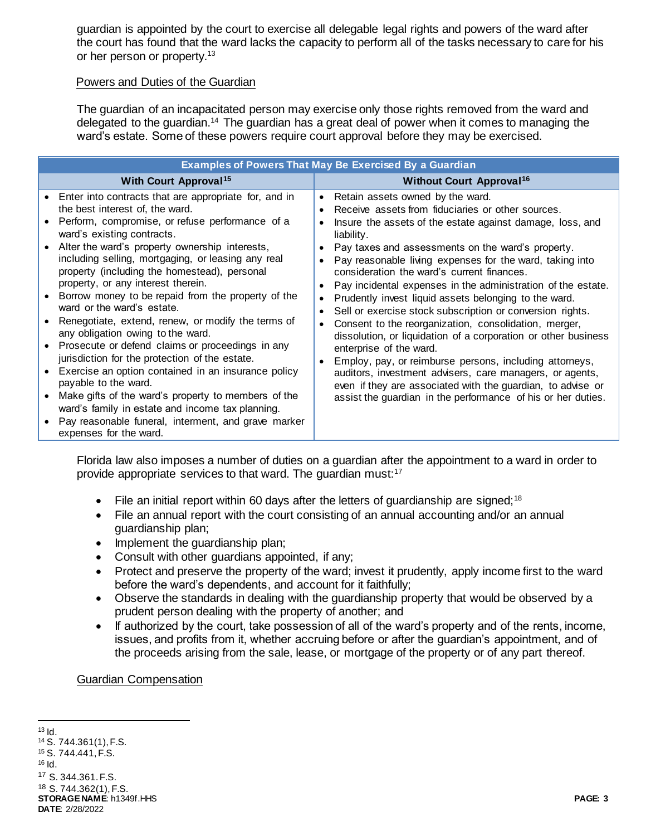guardian is appointed by the court to exercise all delegable legal rights and powers of the ward after the court has found that the ward lacks the capacity to perform all of the tasks necessary to care for his or her person or property.<sup>13</sup>

#### Powers and Duties of the Guardian

The guardian of an incapacitated person may exercise only those rights removed from the ward and delegated to the guardian.<sup>14</sup> The guardian has a great deal of power when it comes to managing the ward's estate. Some of these powers require court approval before they may be exercised.

| <b>Examples of Powers That May Be Exercised By a Guardian</b>                                                                                                                                                                                                                                                                                                                                                                                                                                                                                                                                                                                                                                                                                                                                                                                                                                                                                        |                                                                                                                                                                                                                                                                                                                                                                                                                                                                                                                                                                                                                                                                                                                                                                                                                                                                                                                                                                                                                                           |  |  |
|------------------------------------------------------------------------------------------------------------------------------------------------------------------------------------------------------------------------------------------------------------------------------------------------------------------------------------------------------------------------------------------------------------------------------------------------------------------------------------------------------------------------------------------------------------------------------------------------------------------------------------------------------------------------------------------------------------------------------------------------------------------------------------------------------------------------------------------------------------------------------------------------------------------------------------------------------|-------------------------------------------------------------------------------------------------------------------------------------------------------------------------------------------------------------------------------------------------------------------------------------------------------------------------------------------------------------------------------------------------------------------------------------------------------------------------------------------------------------------------------------------------------------------------------------------------------------------------------------------------------------------------------------------------------------------------------------------------------------------------------------------------------------------------------------------------------------------------------------------------------------------------------------------------------------------------------------------------------------------------------------------|--|--|
| <b>With Court Approval<sup>15</sup></b>                                                                                                                                                                                                                                                                                                                                                                                                                                                                                                                                                                                                                                                                                                                                                                                                                                                                                                              | <b>Without Court Approval<sup>16</sup></b>                                                                                                                                                                                                                                                                                                                                                                                                                                                                                                                                                                                                                                                                                                                                                                                                                                                                                                                                                                                                |  |  |
| Enter into contracts that are appropriate for, and in<br>the best interest of, the ward.<br>Perform, compromise, or refuse performance of a<br>ward's existing contracts.<br>Alter the ward's property ownership interests,<br>including selling, mortgaging, or leasing any real<br>property (including the homestead), personal<br>property, or any interest therein.<br>Borrow money to be repaid from the property of the<br>ward or the ward's estate.<br>Renegotiate, extend, renew, or modify the terms of<br>any obligation owing to the ward.<br>Prosecute or defend claims or proceedings in any<br>$\bullet$<br>jurisdiction for the protection of the estate.<br>Exercise an option contained in an insurance policy<br>payable to the ward.<br>Make gifts of the ward's property to members of the<br>ward's family in estate and income tax planning.<br>Pay reasonable funeral, interment, and grave marker<br>expenses for the ward. | Retain assets owned by the ward.<br>$\bullet$<br>Receive assets from fiduciaries or other sources.<br>$\bullet$<br>Insure the assets of the estate against damage, loss, and<br>$\bullet$<br>liability.<br>Pay taxes and assessments on the ward's property.<br>$\bullet$<br>Pay reasonable living expenses for the ward, taking into<br>consideration the ward's current finances.<br>Pay incidental expenses in the administration of the estate.<br>$\bullet$<br>Prudently invest liquid assets belonging to the ward.<br>$\bullet$<br>Sell or exercise stock subscription or conversion rights.<br>$\bullet$<br>Consent to the reorganization, consolidation, merger,<br>$\bullet$<br>dissolution, or liquidation of a corporation or other business<br>enterprise of the ward.<br>Employ, pay, or reimburse persons, including attorneys,<br>auditors, investment advisers, care managers, or agents,<br>even if they are associated with the guardian, to advise or<br>assist the guardian in the performance of his or her duties. |  |  |

Florida law also imposes a number of duties on a guardian after the appointment to a ward in order to provide appropriate services to that ward. The guardian must:<sup>17</sup>

- File an initial report within 60 days after the letters of guardianship are signed;<sup>18</sup>
- File an annual report with the court consisting of an annual accounting and/or an annual guardianship plan;
- Implement the guardianship plan;
- Consult with other guardians appointed, if any;
- Protect and preserve the property of the ward; invest it prudently, apply income first to the ward before the ward's dependents, and account for it faithfully;
- Observe the standards in dealing with the guardianship property that would be observed by a prudent person dealing with the property of another; and
- If authorized by the court, take possession of all of the ward's property and of the rents, income, issues, and profits from it, whether accruing before or after the guardian's appointment, and of the proceeds arising from the sale, lease, or mortgage of the property or of any part thereof.

#### Guardian Compensation

**STORAGE NAME**: h1349f.HHS **PAGE: 3 DATE**: 2/28/2022 l  $13$  Id. <sup>14</sup> S. 744.361(1), F.S. <sup>15</sup> S. 744.441, F.S.  $16$  Id. <sup>17</sup> S. 344.361. F.S. <sup>18</sup> S. 744.362(1), F.S.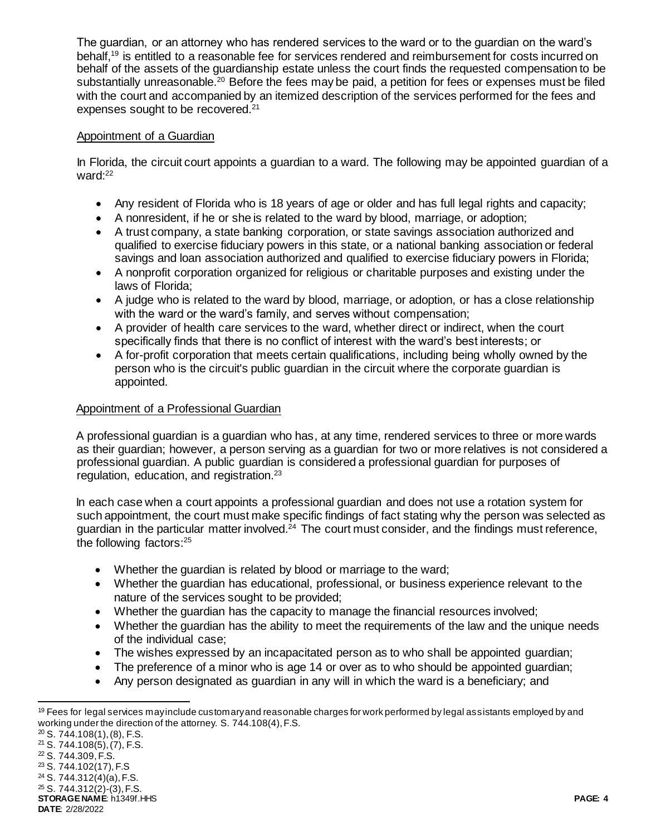The guardian, or an attorney who has rendered services to the ward or to the guardian on the ward's behalf,<sup>19</sup> is entitled to a reasonable fee for services rendered and reimbursement for costs incurred on behalf of the assets of the guardianship estate unless the court finds the requested compensation to be substantially unreasonable.<sup>20</sup> Before the fees may be paid, a petition for fees or expenses must be filed with the court and accompanied by an itemized description of the services performed for the fees and expenses sought to be recovered.<sup>21</sup>

# Appointment of a Guardian

In Florida, the circuit court appoints a guardian to a ward. The following may be appointed guardian of a ward:<sup>22</sup>

- Any resident of Florida who is 18 years of age or older and has full legal rights and capacity;
- A nonresident, if he or she is related to the ward by blood, marriage, or adoption;
- A trust company, a state banking corporation, or state savings association authorized and qualified to exercise fiduciary powers in this state, or a national banking association or federal savings and loan association authorized and qualified to exercise fiduciary powers in Florida;
- A nonprofit corporation organized for religious or charitable purposes and existing under the laws of Florida;
- A judge who is related to the ward by blood, marriage, or adoption, or has a close relationship with the ward or the ward's family, and serves without compensation;
- A provider of health care services to the ward, whether direct or indirect, when the court specifically finds that there is no conflict of interest with the ward's best interests; or
- A for-profit corporation that meets certain qualifications, including being wholly owned by the person who is the circuit's public guardian in the circuit where the corporate guardian is appointed.

# Appointment of a Professional Guardian

A professional guardian is a guardian who has, at any time, rendered services to three or more wards as their guardian; however, a person serving as a guardian for two or more relatives is not considered a professional guardian. A public guardian is considered a professional guardian for purposes of regulation, education, and registration.<sup>23</sup>

In each case when a court appoints a professional guardian and does not use a rotation system for such appointment, the court must make specific findings of fact stating why the person was selected as guardian in the particular matter involved.<sup>24</sup> The court must consider, and the findings must reference, the following factors:<sup>25</sup>

- Whether the guardian is related by blood or marriage to the ward;
- Whether the guardian has educational, professional, or business experience relevant to the nature of the services sought to be provided;
- Whether the guardian has the capacity to manage the financial resources involved;
- Whether the guardian has the ability to meet the requirements of the law and the unique needs of the individual case;
- The wishes expressed by an incapacitated person as to who shall be appointed quardian;
- The preference of a minor who is age 14 or over as to who should be appointed guardian;
- Any person designated as guardian in any will in which the ward is a beneficiary; and

**STORAGE NAME**: h1349f.HHS **PAGE: 4** <sup>25</sup> S. 744.312(2)-(3), F.S.

```
DATE: 2/28/2022
```
l  $19$  Fees for legal services may include customary and reasonable charges for work performed by legal assistants employed by and working under the direction of the attorney. S. 744.108(4), F.S.

 $20$  S. 744.108(1), (8), F.S.

<sup>21</sup> S. 744.108(5), (7), F.S.

<sup>22</sup> S. 744.309, F.S.

<sup>23</sup> S. 744.102(17), F.S

<sup>24</sup> S. 744.312(4)(a), F.S.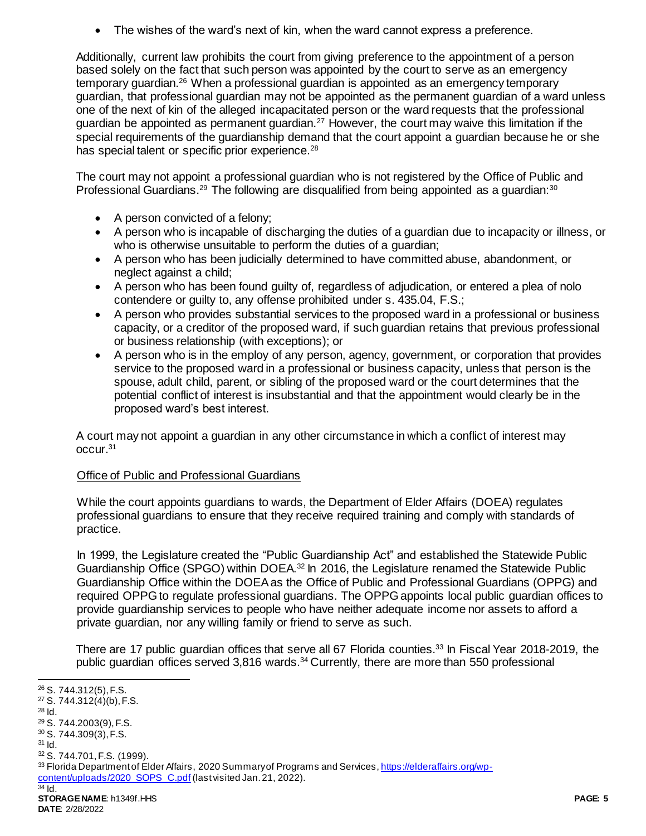The wishes of the ward's next of kin, when the ward cannot express a preference.

Additionally, current law prohibits the court from giving preference to the appointment of a person based solely on the fact that such person was appointed by the court to serve as an emergency temporary guardian.<sup>26</sup> When a professional guardian is appointed as an emergency temporary guardian, that professional guardian may not be appointed as the permanent guardian of a ward unless one of the next of kin of the alleged incapacitated person or the ward requests that the professional guardian be appointed as permanent quardian.<sup>27</sup> However, the court may waive this limitation if the special requirements of the guardianship demand that the court appoint a guardian because he or she has special talent or specific prior experience.<sup>28</sup>

The court may not appoint a professional guardian who is not registered by the Office of Public and Professional Guardians.<sup>29</sup> The following are disqualified from being appointed as a guardian:<sup>30</sup>

- A person convicted of a felony;
- A person who is incapable of discharging the duties of a guardian due to incapacity or illness, or who is otherwise unsuitable to perform the duties of a quardian:
- A person who has been judicially determined to have committed abuse, abandonment, or neglect against a child;
- A person who has been found guilty of, regardless of adjudication, or entered a plea of nolo contendere or guilty to, any offense prohibited under s. 435.04, F.S.;
- A person who provides substantial services to the proposed ward in a professional or business capacity, or a creditor of the proposed ward, if such guardian retains that previous professional or business relationship (with exceptions); or
- A person who is in the employ of any person, agency, government, or corporation that provides service to the proposed ward in a professional or business capacity, unless that person is the spouse, adult child, parent, or sibling of the proposed ward or the court determines that the potential conflict of interest is insubstantial and that the appointment would clearly be in the proposed ward's best interest.

A court may not appoint a guardian in any other circumstance in which a conflict of interest may occur.<sup>31</sup>

# Office of Public and Professional Guardians

While the court appoints guardians to wards, the Department of Elder Affairs (DOEA) regulates professional guardians to ensure that they receive required training and comply with standards of practice.

In 1999, the Legislature created the "Public Guardianship Act" and established the Statewide Public Guardianship Office (SPGO) within DOEA.<sup>32</sup> In 2016, the Legislature renamed the Statewide Public Guardianship Office within the DOEA as the Office of Public and Professional Guardians (OPPG) and required OPPG to regulate professional guardians. The OPPG appoints local public guardian offices to provide guardianship services to people who have neither adequate income nor assets to afford a private guardian, nor any willing family or friend to serve as such.

There are 17 public guardian offices that serve all 67 Florida counties.<sup>33</sup> In Fiscal Year 2018-2019, the public guardian offices served 3,816 wards.<sup>34</sup> Currently, there are more than 550 professional

l

**STORAGE NAME**: h1349f.HHS **PAGE: 5** <sup>26</sup> S. 744.312(5), F.S. <sup>27</sup> S. 744.312(4)(b), F.S.  $28$  Id. <sup>29</sup> S. 744.2003(9), F.S. <sup>30</sup> S. 744.309(3), F.S.  $31$  Id. <sup>32</sup> S. 744.701, F.S. (1999). 33 Florida Department of Elder Affairs, 2020 Summary of Programs and Services[, https://elderaffairs.org/wp](https://elderaffairs.org/wp-content/uploads/2020_SOPS_C.pdf)[content/uploads/2020\\_SOPS\\_C.pdf](https://elderaffairs.org/wp-content/uploads/2020_SOPS_C.pdf) (last visited Jan. 21, 2022).  $34$  Id.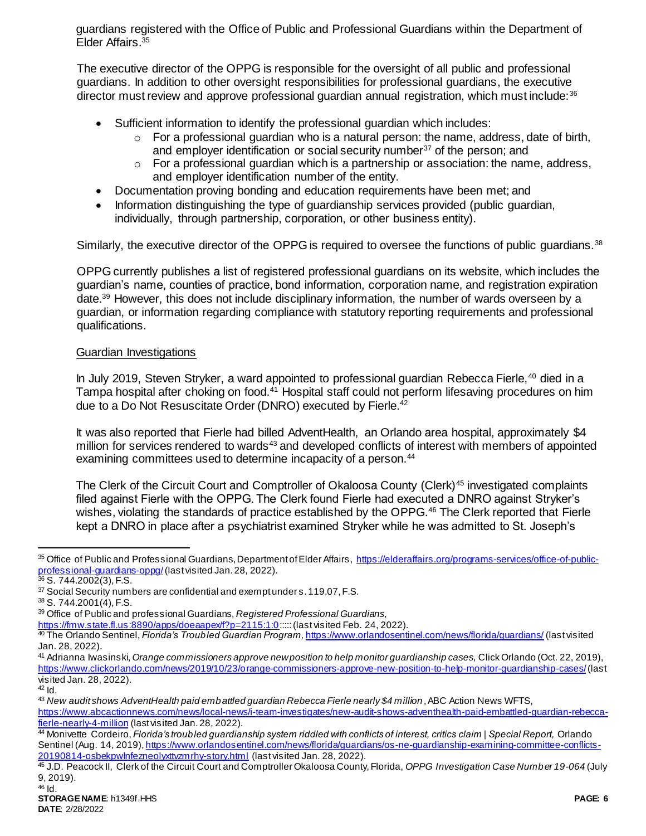guardians registered with the Office of Public and Professional Guardians within the Department of Elder Affairs.<sup>35</sup>

The executive director of the OPPG is responsible for the oversight of all public and professional guardians. In addition to other oversight responsibilities for professional guardians, the executive director must review and approve professional quardian annual registration, which must include:<sup>36</sup>

- Sufficient information to identify the professional guardian which includes:
	- $\circ$  For a professional guardian who is a natural person: the name, address, date of birth, and employer identification or social security number<sup>37</sup> of the person: and
	- $\circ$  For a professional guardian which is a partnership or association: the name, address, and employer identification number of the entity.
- Documentation proving bonding and education requirements have been met; and
- Information distinguishing the type of guardianship services provided (public guardian, individually, through partnership, corporation, or other business entity).

Similarly, the executive director of the OPPG is required to oversee the functions of public quardians.<sup>38</sup>

OPPG currently publishes a list of registered professional guardians on its website, which includes the guardian's name, counties of practice, bond information, corporation name, and registration expiration date.<sup>39</sup> However, this does not include disciplinary information, the number of wards overseen by a guardian, or information regarding compliance with statutory reporting requirements and professional qualifications.

#### Guardian Investigations

In July 2019, Steven Stryker, a ward appointed to professional quardian Rebecca Fierle,<sup>40</sup> died in a Tampa hospital after choking on food.<sup>41</sup> Hospital staff could not perform lifesaving procedures on him due to a Do Not Resuscitate Order (DNRO) executed by Fierle.<sup>42</sup>

It was also reported that Fierle had billed AdventHealth, an Orlando area hospital, approximately \$4 million for services rendered to wards<sup>43</sup> and developed conflicts of interest with members of appointed examining committees used to determine incapacity of a person.<sup>44</sup>

The Clerk of the Circuit Court and Comptroller of Okaloosa County (Clerk)<sup>45</sup> investigated complaints filed against Fierle with the OPPG. The Clerk found Fierle had executed a DNRO against Stryker's wishes, violating the standards of practice established by the OPPG.<sup>46</sup> The Clerk reported that Fierle kept a DNRO in place after a psychiatrist examined Stryker while he was admitted to St. Joseph's

<https://fmw.state.fl.us:8890/apps/doeaapex/f?p=2115:1:0>::::: (last visited Feb. 24, 2022).

j

<sup>35</sup> Office of Public and Professional Guardians, Department of Elder Affairs, [https://elderaffairs.org/programs-services/office-of-public](https://elderaffairs.org/programs-services/office-of-public-professional-guardians-oppg/)[professional-guardians-oppg/](https://elderaffairs.org/programs-services/office-of-public-professional-guardians-oppg/)(last visited Jan. 28, 2022).

 $36$  S. 744.2002(3), F.S.

<sup>37</sup> Social Security numbers are confidential and exempt under s. 119.07, F.S.

<sup>38</sup> S. 744.2001(4), F.S.

<sup>39</sup> Office of Public and professional Guardians, *Registered Professional Guardians,* 

<sup>40</sup> The Orlando Sentinel, *Florida's Troubled Guardian Program,* <https://www.orlandosentinel.com/news/florida/guardians/> (last visited Jan. 28, 2022).

<sup>41</sup> Adrianna Iwasinski, *Orange commissioners approve new position to help monitor guardianship cases,* Click Orlando (Oct. 22, 2019), <https://www.clickorlando.com/news/2019/10/23/orange-commissioners-approve-new-position-to-help-monitor-guardianship-cases/>(last visited Jan. 28, 2022).

 $42$  Id.

<sup>43</sup> *New audit shows AdventHealth paid embattled guardian Rebecca Fierle nearly \$4 million*, ABC Action News WFTS,

[https://www.abcactionnews.com/news/local-news/i-team-investigates/new-audit-shows-adventhealth-paid-embattled-guardian-rebecca](https://www.abcactionnews.com/news/local-news/i-team-investigates/new-audit-shows-adventhealth-paid-embattled-guardian-rebecca-fierle-nearly-4-million)[fierle-nearly-4-million](https://www.abcactionnews.com/news/local-news/i-team-investigates/new-audit-shows-adventhealth-paid-embattled-guardian-rebecca-fierle-nearly-4-million) (last visited Jan. 28, 2022).

<sup>44</sup> Monivette Cordeiro, *Florida's troubled guardianship system riddled with conflicts of interest, critics claim | Special Report,* Orlando Sentinel (Aug. 14, 2019), https://www.orlandosentinel.com/news/florida/guardians/os-ne-quardianship-examining-committee-conflicts-[20190814-osbekpwlnfezneolyxttvzmrhy-story.html](https://www.orlandosentinel.com/news/florida/guardians/os-ne-guardianship-examining-committee-conflicts-20190814-osbekpwlnfezneolyxttvzmrhy-story.html) (last visited Jan. 28, 2022).

<sup>45</sup> J.D. Peacock II, Clerk of the Circuit Court and Comptroller Okaloosa County, Florida, *OPPG Investigation Case Number 19-064* (July 9, 2019).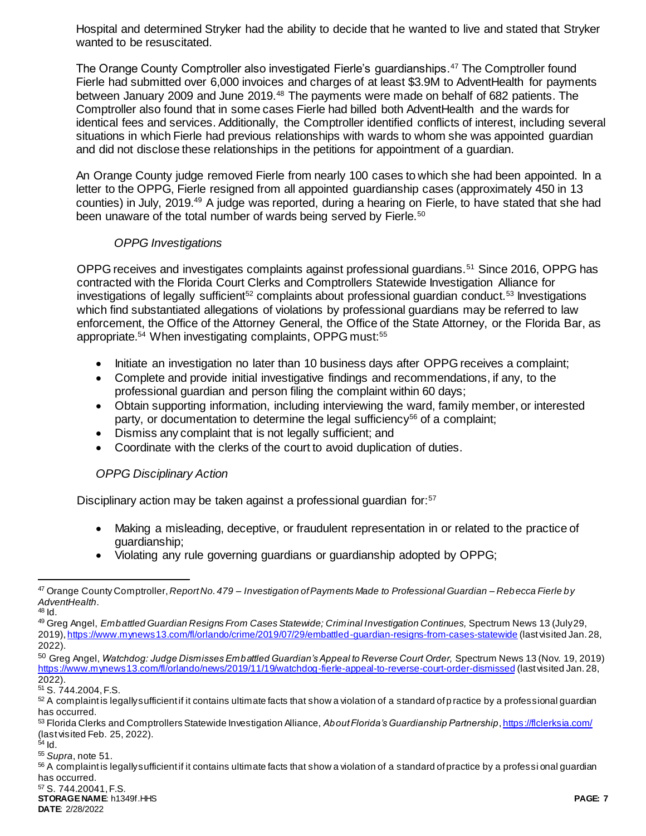Hospital and determined Stryker had the ability to decide that he wanted to live and stated that Stryker wanted to be resuscitated.

The Orange County Comptroller also investigated Fierle's guardianships.<sup>47</sup> The Comptroller found Fierle had submitted over 6,000 invoices and charges of at least \$3.9M to AdventHealth for payments between January 2009 and June 2019.<sup>48</sup> The payments were made on behalf of 682 patients. The Comptroller also found that in some cases Fierle had billed both AdventHealth and the wards for identical fees and services. Additionally, the Comptroller identified conflicts of interest, including several situations in which Fierle had previous relationships with wards to whom she was appointed guardian and did not disclose these relationships in the petitions for appointment of a guardian.

An Orange County judge removed Fierle from nearly 100 cases to which she had been appointed. In a letter to the OPPG, Fierle resigned from all appointed guardianship cases (approximately 450 in 13 counties) in July, 2019.<sup>49</sup> A judge was reported, during a hearing on Fierle, to have stated that she had been unaware of the total number of wards being served by Fierle.<sup>50</sup>

## <span id="page-6-0"></span>*OPPG Investigations*

OPPG receives and investigates complaints against professional guardians.<sup>51</sup> Since 2016, OPPG has contracted with the Florida Court Clerks and Comptrollers Statewide Investigation Alliance for investigations of legally sufficient<sup>52</sup> complaints about professional guardian conduct.<sup>53</sup> Investigations which find substantiated allegations of violations by professional guardians may be referred to law enforcement, the Office of the Attorney General, the Office of the State Attorney, or the Florida Bar, as appropriate.<sup>54</sup> When investigating complaints, OPPG must:<sup>55</sup>

- Initiate an investigation no later than 10 business days after OPPG receives a complaint;
- Complete and provide initial investigative findings and recommendations, if any, to the professional guardian and person filing the complaint within 60 days;
- Obtain supporting information, including interviewing the ward, family member, or interested party, or documentation to determine the legal sufficiency<sup>56</sup> of a complaint;
- Dismiss any complaint that is not legally sufficient; and
- Coordinate with the clerks of the court to avoid duplication of duties.

## *OPPG Disciplinary Action*

Disciplinary action may be taken against a professional guardian for:<sup>57</sup>

- Making a misleading, deceptive, or fraudulent representation in or related to the practice of guardianship;
- Violating any rule governing guardians or guardianship adopted by OPPG;

 $\overline{a}$ 

<sup>47</sup> Orange County Comptroller, *Report No. 479 – Investigation of Payments Made to Professional Guardian – Rebecca Fierle by AdventHealth*.

 $48$  Id.

<sup>49</sup> Greg Angel, *Embattled Guardian Resigns From Cases Statewide; Criminal Investigation Continues,* Spectrum News 13 (July 29, 2019)[, https://www.mynews13.com/fl/orlando/crime/2019/07/29/embattled-guardian-resigns-from-cases-statewide](https://www.mynews13.com/fl/orlando/crime/2019/07/29/embattled-guardian-resigns-from-cases-statewide) (last visited Jan. 28, 2022).

<sup>50</sup> Greg Angel, *Watchdog: Judge Dismisses Embattled Guardian's Appeal to Reverse Court Order,* Spectrum News 13 (Nov. 19, 2019) <https://www.mynews13.com/fl/orlando/news/2019/11/19/watchdog-fierle-appeal-to-reverse-court-order-dismissed> (last visited Jan. 28, 2022).

<sup>51</sup> S. 744.2004, F.S.

<sup>52</sup> A complaint is legally sufficient if it contains ultimate facts that show a violation of a standard of p ractice by a professional guardian has occurred.

<sup>53</sup> Florida Clerks and Comptrollers Statewide Investigation Alliance, About Florida's Guardianship Partnership[, https://flclerksia.com/](https://flclerksia.com/) (last visited Feb. 25, 2022).

 $<sup>34</sup>$  Id.</sup> <sup>55</sup> *Supra*, note [51.](#page-6-0)

<sup>&</sup>lt;sup>56</sup> A complaint is legally sufficient if it contains ultimate facts that show a violation of a standard of practice by a professi onal guardian has occurred.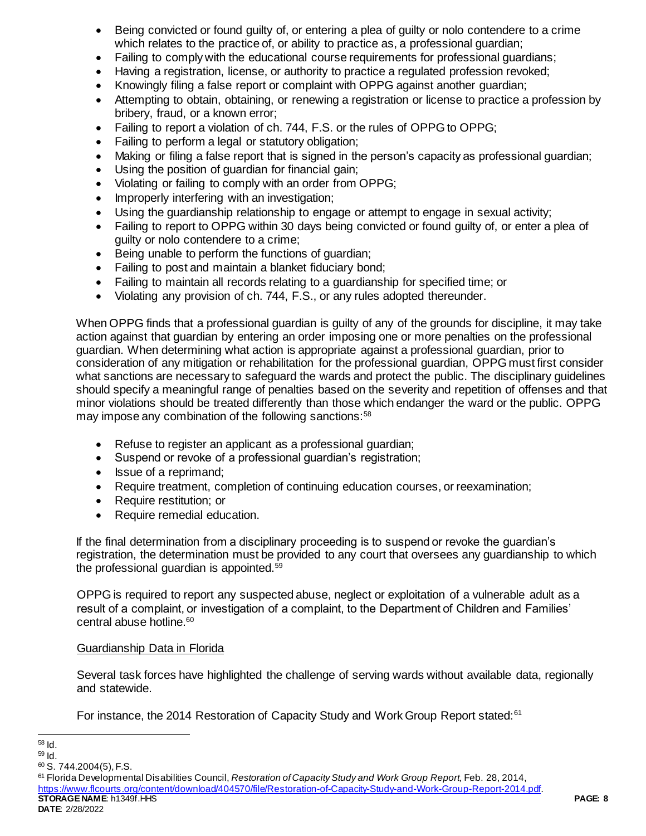- Being convicted or found guilty of, or entering a plea of guilty or nolo contendere to a crime which relates to the practice of, or ability to practice as, a professional guardian;
- Failing to comply with the educational course requirements for professional guardians;
- Having a registration, license, or authority to practice a regulated profession revoked;
- Knowingly filing a false report or complaint with OPPG against another quardian;
- Attempting to obtain, obtaining, or renewing a registration or license to practice a profession by bribery, fraud, or a known error;
- Failing to report a violation of ch. 744, F.S. or the rules of OPPG to OPPG;
- Failing to perform a legal or statutory obligation;
- Making or filing a false report that is signed in the person's capacity as professional guardian;
- Using the position of guardian for financial gain;
- Violating or failing to comply with an order from OPPG;
- Improperly interfering with an investigation;
- Using the guardianship relationship to engage or attempt to engage in sexual activity;
- Failing to report to OPPG within 30 days being convicted or found quilty of, or enter a plea of guilty or nolo contendere to a crime;
- Being unable to perform the functions of guardian;
- Failing to post and maintain a blanket fiduciary bond;
- Failing to maintain all records relating to a guardianship for specified time; or
- Violating any provision of ch. 744, F.S., or any rules adopted thereunder.

When OPPG finds that a professional guardian is guilty of any of the grounds for discipline, it may take action against that guardian by entering an order imposing one or more penalties on the professional guardian. When determining what action is appropriate against a professional guardian, prior to consideration of any mitigation or rehabilitation for the professional guardian, OPPG must first consider what sanctions are necessary to safeguard the wards and protect the public. The disciplinary guidelines should specify a meaningful range of penalties based on the severity and repetition of offenses and that minor violations should be treated differently than those which endanger the ward or the public. OPPG may impose any combination of the following sanctions:<sup>58</sup>

- Refuse to register an applicant as a professional guardian;
- Suspend or revoke of a professional guardian's registration;
- Issue of a reprimand;
- Require treatment, completion of continuing education courses, or reexamination;
- Require restitution; or
- Require remedial education.

If the final determination from a disciplinary proceeding is to suspend or revoke the guardian's registration, the determination must be provided to any court that oversees any guardianship to which the professional guardian is appointed.<sup>59</sup>

OPPG is required to report any suspected abuse, neglect or exploitation of a vulnerable adult as a result of a complaint, or investigation of a complaint, to the Department of Children and Families' central abuse hotline.<sup>60</sup>

## Guardianship Data in Florida

Several task forces have highlighted the challenge of serving wards without available data, regionally and statewide.

For instance, the 2014 Restoration of Capacity Study and Work Group Report stated:<sup>61</sup>

**STORAGE NAME**: h1349f.HHS **PAGE: 8** <sup>61</sup> Florida Developmental Disabilities Council, *Restoration of Capacity Study and Work Group Report,* Feb. 28, 2014, <https://www.flcourts.org/content/download/404570/file/Restoration-of-Capacity-Study-and-Work-Group-Report-2014.pdf>.

l <sup>58</sup> Id.

 $59$  Id.

 $60$  S. 744.2004(5), F.S.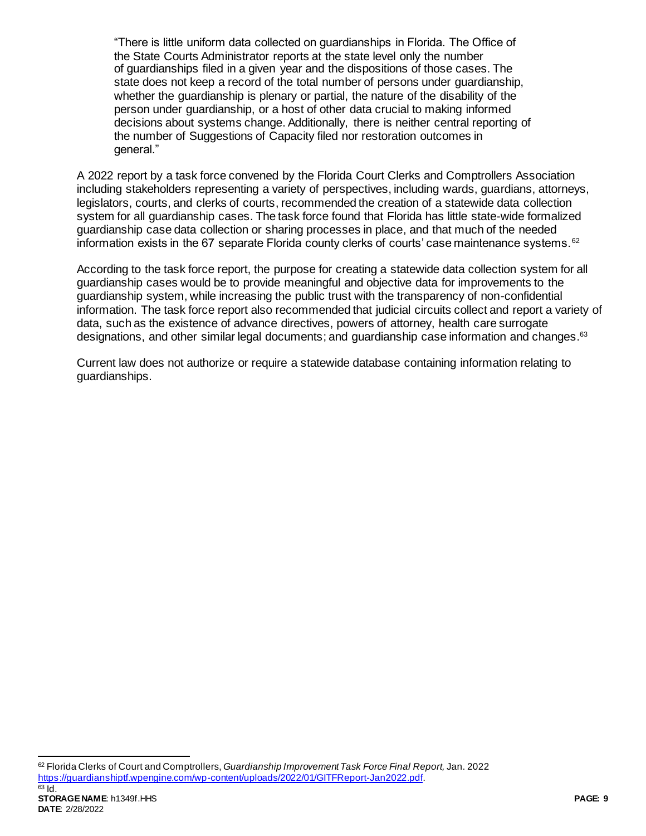"There is little uniform data collected on guardianships in Florida. The Office of the State Courts Administrator reports at the state level only the number of guardianships filed in a given year and the dispositions of those cases. The state does not keep a record of the total number of persons under guardianship, whether the guardianship is plenary or partial, the nature of the disability of the person under guardianship, or a host of other data crucial to making informed decisions about systems change. Additionally, there is neither central reporting of the number of Suggestions of Capacity filed nor restoration outcomes in general."

A 2022 report by a task force convened by the Florida Court Clerks and Comptrollers Association including stakeholders representing a variety of perspectives, including wards, guardians, attorneys, legislators, courts, and clerks of courts, recommended the creation of a statewide data collection system for all guardianship cases. The task force found that Florida has little state-wide formalized guardianship case data collection or sharing processes in place, and that much of the needed information exists in the 67 separate Florida county clerks of courts' case maintenance systems.  $62$ 

According to the task force report, the purpose for creating a statewide data collection system for all guardianship cases would be to provide meaningful and objective data for improvements to the guardianship system, while increasing the public trust with the transparency of non-confidential information. The task force report also recommended that judicial circuits collect and report a variety of data, such as the existence of advance directives, powers of attorney, health care surrogate designations, and other similar legal documents; and guardianship case information and changes.<sup>63</sup>

Current law does not authorize or require a statewide database containing information relating to guardianships.

 $\overline{a}$ <sup>62</sup> Florida Clerks of Court and Comptrollers, *Guardianship Improvement Task Force Final Report,* Jan. 2022 <https://guardianshiptf.wpengine.com/wp-content/uploads/2022/01/GITFReport-Jan2022.pdf>.  $63$  Id.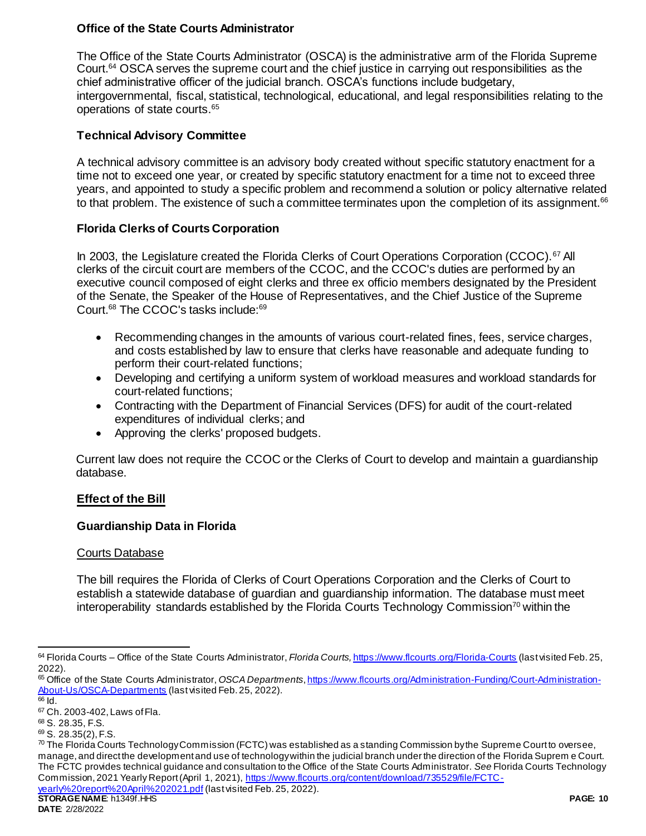# **Office of the State Courts Administrator**

The Office of the State Courts Administrator (OSCA) is the administrative arm of the Florida Supreme Court.<sup>64</sup> OSCA serves the supreme court and the chief justice in carrying out responsibilities as the chief administrative officer of the judicial branch. OSCA's functions include budgetary, intergovernmental, fiscal, statistical, technological, educational, and legal responsibilities relating to the operations of state courts.<sup>65</sup>

# **Technical Advisory Committee**

A technical advisory committee is an advisory body created without specific statutory enactment for a time not to exceed one year, or created by specific statutory enactment for a time not to exceed three years, and appointed to study a specific problem and recommend a solution or policy alternative related to that problem. The existence of such a committee terminates upon the completion of its assignment.<sup>66</sup>

## **Florida Clerks of Courts Corporation**

In 2003, the Legislature created the Florida Clerks of Court Operations Corporation (CCOC).<sup>67</sup> All clerks of the circuit court are members of the CCOC, and the CCOC's duties are performed by an executive council composed of eight clerks and three ex officio members designated by the President of the Senate, the Speaker of the House of Representatives, and the Chief Justice of the Supreme Court.<sup>68</sup> The CCOC's tasks include:<sup>69</sup>

- Recommending changes in the amounts of various court-related fines, fees, service charges, and costs established by law to ensure that clerks have reasonable and adequate funding to perform their court-related functions;
- Developing and certifying a uniform system of workload measures and workload standards for court-related functions;
- Contracting with the Department of Financial Services (DFS) for audit of the court-related expenditures of individual clerks; and
- Approving the clerks' proposed budgets.

Current law does not require the CCOC or the Clerks of Court to develop and maintain a guardianship database.

## **Effect of the Bill**

## **Guardianship Data in Florida**

## Courts Database

The bill requires the Florida of Clerks of Court Operations Corporation and the Clerks of Court to establish a statewide database of guardian and guardianship information. The database must meet interoperability standards established by the Florida Courts Technology Commission<sup>70</sup> within the

l <sup>64</sup> Florida Courts – Office of the State Courts Administrator, *Florida Courts,* <https://www.flcourts.org/Florida-Courts> (last visited Feb. 25, 2022).

<sup>65</sup> Office of the State Courts Administrator, *OSCA Departments*[, https://www.flcourts.org/Administration-Funding/Court-Administration-](https://www.flcourts.org/Administration-Funding/Court-Administration-About-Us/OSCA-Departments)[About-Us/OSCA-Departments](https://www.flcourts.org/Administration-Funding/Court-Administration-About-Us/OSCA-Departments) (last visited Feb. 25, 2022).  $\overline{66}$  Id.

<sup>67</sup> Ch. 2003-402, Laws of Fla.

<sup>68</sup> S. 28.35, F.S.

<sup>69</sup> S. 28.35(2), F.S.

 $\frac{70}{10}$  The Florida Courts Technology Commission (FCTC) was established as a standing Commission by the Supreme Court to oversee, manage, and direct the development and use of technology within the judicial branch under the direction of the Florida Suprem e Court. The FCTC provides technical guidance and consultation to the Office of the State Courts Administrator. *See* Florida Courts Technology Commission, 2021 Yearly Report (April 1, 2021)[, https://www.flcourts.org/content/download/735529/file/FCTC-](https://www.flcourts.org/content/download/735529/file/FCTC-yearly%20report%20April%202021.pdf)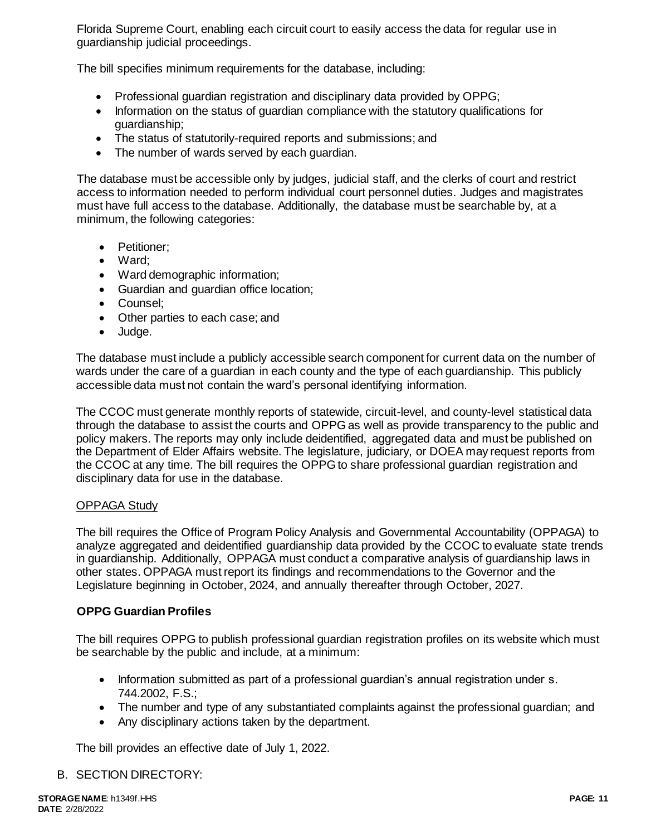Florida Supreme Court, enabling each circuit court to easily access the data for regular use in guardianship judicial proceedings.

The bill specifies minimum requirements for the database, including:

- Professional guardian registration and disciplinary data provided by OPPG;
- Information on the status of quardian compliance with the statutory qualifications for guardianship;
- The status of statutorily-required reports and submissions; and
- The number of wards served by each quardian.

The database must be accessible only by judges, judicial staff, and the clerks of court and restrict access to information needed to perform individual court personnel duties. Judges and magistrates must have full access to the database. Additionally, the database must be searchable by, at a minimum, the following categories:

- Petitioner:
- Ward:
- Ward demographic information;
- Guardian and guardian office location;
- Counsel:
- Other parties to each case; and
- Judge.

The database must include a publicly accessible search component for current data on the number of wards under the care of a guardian in each county and the type of each guardianship. This publicly accessible data must not contain the ward's personal identifying information.

The CCOC must generate monthly reports of statewide, circuit-level, and county-level statistical data through the database to assist the courts and OPPG as well as provide transparency to the public and policy makers. The reports may only include deidentified, aggregated data and must be published on the Department of Elder Affairs website. The legislature, judiciary, or DOEA may request reports from the CCOC at any time. The bill requires the OPPG to share professional guardian registration and disciplinary data for use in the database.

#### OPPAGA Study

The bill requires the Office of Program Policy Analysis and Governmental Accountability (OPPAGA) to analyze aggregated and deidentified guardianship data provided by the CCOC to evaluate state trends in guardianship. Additionally, OPPAGA must conduct a comparative analysis of guardianship laws in other states. OPPAGA must report its findings and recommendations to the Governor and the Legislature beginning in October, 2024, and annually thereafter through October, 2027.

## **OPPG Guardian Profiles**

The bill requires OPPG to publish professional guardian registration profiles on its website which must be searchable by the public and include, at a minimum:

- Information submitted as part of a professional guardian's annual registration under s. 744.2002, F.S.;
- The number and type of any substantiated complaints against the professional guardian; and
- Any disciplinary actions taken by the department.

The bill provides an effective date of July 1, 2022.

#### B. SECTION DIRECTORY: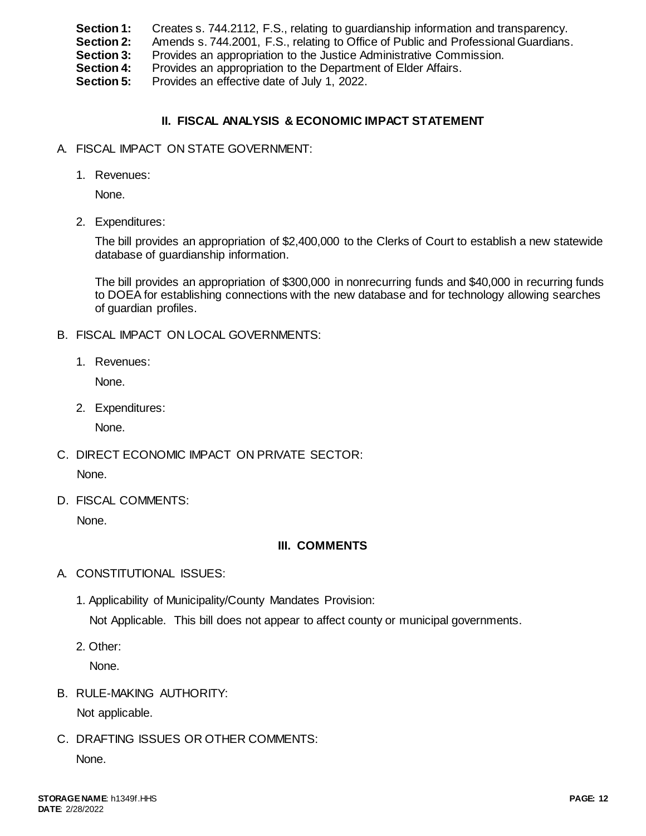- **Section 1:** Creates s. 744.2112, F.S., relating to guardianship information and transparency.
- **Section 2:** Amends s. 744.2001, F.S., relating to Office of Public and Professional Guardians.
- **Section 3:** Provides an appropriation to the Justice Administrative Commission.
- **Section 4:** Provides an appropriation to the Department of Elder Affairs.

**Section 5:** Provides an effective date of July 1, 2022.

# **II. FISCAL ANALYSIS & ECONOMIC IMPACT STATEMENT**

- A. FISCAL IMPACT ON STATE GOVERNMENT:
	- 1. Revenues:

None.

2. Expenditures:

The bill provides an appropriation of \$2,400,000 to the Clerks of Court to establish a new statewide database of guardianship information.

The bill provides an appropriation of \$300,000 in nonrecurring funds and \$40,000 in recurring funds to DOEA for establishing connections with the new database and for technology allowing searches of guardian profiles.

- B. FISCAL IMPACT ON LOCAL GOVERNMENTS:
	- 1. Revenues:

None.

2. Expenditures:

None.

- C. DIRECT ECONOMIC IMPACT ON PRIVATE SECTOR: None.
- D. FISCAL COMMENTS:

None.

# **III. COMMENTS**

- A. CONSTITUTIONAL ISSUES:
	- 1. Applicability of Municipality/County Mandates Provision:

Not Applicable. This bill does not appear to affect county or municipal governments.

2. Other:

None.

B. RULE-MAKING AUTHORITY:

Not applicable.

C. DRAFTING ISSUES OR OTHER COMMENTS:

None.